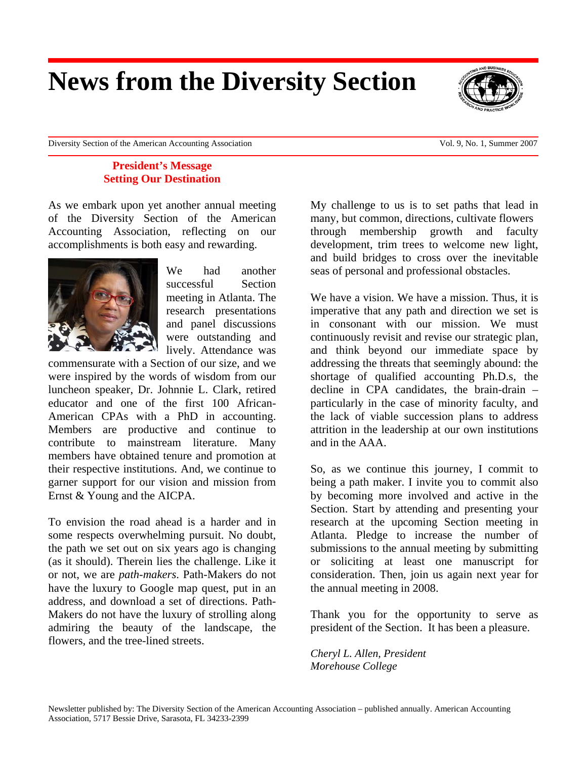## **News from the Diversity Section**

Diversity Section of the American Accounting Association Vol. 9, No. 1, Summer 2007

#### **President's Message Setting Our Destination**

As we embark upon yet another annual meeting of the Diversity Section of the American Accounting Association, reflecting on our accomplishments is both easy and rewarding.



We had another successful Section meeting in Atlanta. The research presentations and panel discussions were outstanding and lively. Attendance was

commensurate with a Section of our size, and we were inspired by the words of wisdom from our luncheon speaker, Dr. Johnnie L. Clark, retired educator and one of the first 100 African-American CPAs with a PhD in accounting. Members are productive and continue to contribute to mainstream literature. Many members have obtained tenure and promotion at their respective institutions. And, we continue to garner support for our vision and mission from Ernst & Young and the AICPA.

To envision the road ahead is a harder and in some respects overwhelming pursuit. No doubt, the path we set out on six years ago is changing (as it should). Therein lies the challenge. Like it or not, we are *path-makers*. Path-Makers do not have the luxury to Google map quest, put in an address, and download a set of directions. Path-Makers do not have the luxury of strolling along admiring the beauty of the landscape, the flowers, and the tree-lined streets.

My challenge to us is to set paths that lead in many, but common, directions, cultivate flowers through membership growth and faculty development, trim trees to welcome new light, and build bridges to cross over the inevitable seas of personal and professional obstacles.

We have a vision. We have a mission. Thus, it is imperative that any path and direction we set is in consonant with our mission. We must continuously revisit and revise our strategic plan, and think beyond our immediate space by addressing the threats that seemingly abound: the shortage of qualified accounting Ph.D.s, the decline in CPA candidates, the brain-drain – particularly in the case of minority faculty, and the lack of viable succession plans to address attrition in the leadership at our own institutions and in the AAA.

So, as we continue this journey, I commit to being a path maker. I invite you to commit also by becoming more involved and active in the Section. Start by attending and presenting your research at the upcoming Section meeting in Atlanta. Pledge to increase the number of submissions to the annual meeting by submitting or soliciting at least one manuscript for consideration. Then, join us again next year for the annual meeting in 2008.

Thank you for the opportunity to serve as president of the Section. It has been a pleasure.

*Cheryl L. Allen, President Morehouse College*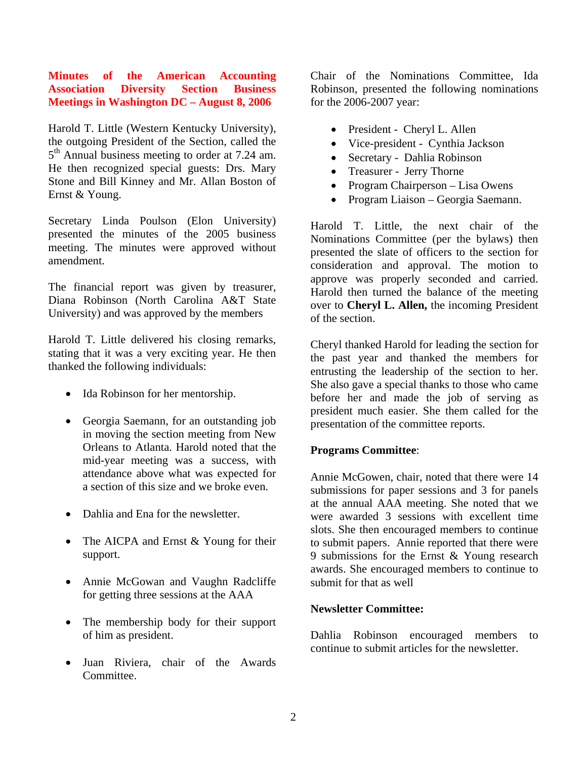#### **Minutes of the American Accounting Association Diversity Section Business Meetings in Washington DC – August 8, 2006**

Harold T. Little (Western Kentucky University), the outgoing President of the Section, called the 5<sup>th</sup> Annual business meeting to order at 7.24 am. He then recognized special guests: Drs. Mary Stone and Bill Kinney and Mr. Allan Boston of Ernst & Young.

Secretary Linda Poulson (Elon University) presented the minutes of the 2005 business meeting. The minutes were approved without amendment.

The financial report was given by treasurer, Diana Robinson (North Carolina A&T State University) and was approved by the members

Harold T. Little delivered his closing remarks, stating that it was a very exciting year. He then thanked the following individuals:

- Ida Robinson for her mentorship.
- Georgia Saemann, for an outstanding job in moving the section meeting from New Orleans to Atlanta. Harold noted that the mid-year meeting was a success, with attendance above what was expected for a section of this size and we broke even.
- Dahlia and Ena for the newsletter.
- The AICPA and Ernst & Young for their support.
- Annie McGowan and Vaughn Radcliffe for getting three sessions at the AAA
- The membership body for their support of him as president.
- Juan Riviera, chair of the Awards Committee.

Chair of the Nominations Committee, Ida Robinson, presented the following nominations for the 2006-2007 year:

- President Cheryl L. Allen
- Vice-president Cynthia Jackson
- Secretary Dahlia Robinson
- Treasurer Jerry Thorne
- Program Chairperson Lisa Owens
- Program Liaison Georgia Saemann.

Harold T. Little, the next chair of the Nominations Committee (per the bylaws) then presented the slate of officers to the section for consideration and approval. The motion to approve was properly seconded and carried. Harold then turned the balance of the meeting over to **Cheryl L. Allen,** the incoming President of the section.

Cheryl thanked Harold for leading the section for the past year and thanked the members for entrusting the leadership of the section to her. She also gave a special thanks to those who came before her and made the job of serving as president much easier. She them called for the presentation of the committee reports.

#### **Programs Committee**:

Annie McGowen, chair, noted that there were 14 submissions for paper sessions and 3 for panels at the annual AAA meeting. She noted that we were awarded 3 sessions with excellent time slots. She then encouraged members to continue to submit papers. Annie reported that there were 9 submissions for the Ernst & Young research awards. She encouraged members to continue to submit for that as well

#### **Newsletter Committee:**

Dahlia Robinson encouraged members to continue to submit articles for the newsletter.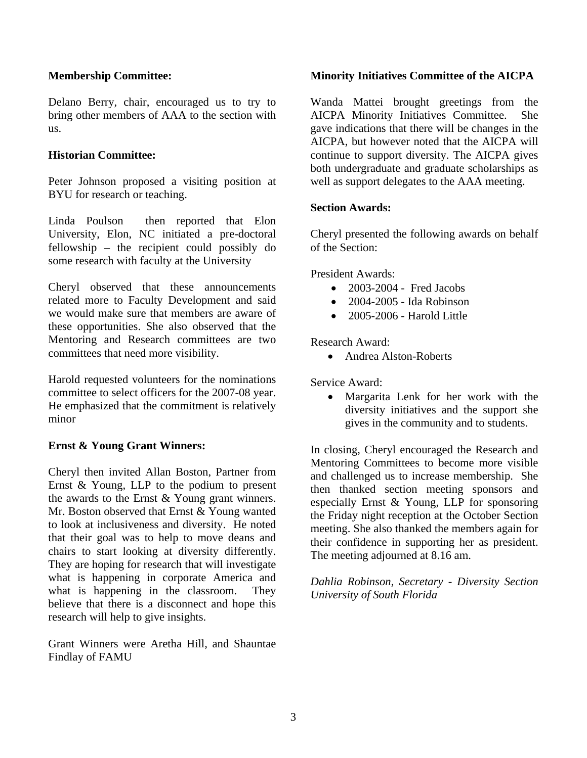#### **Membership Committee:**

Delano Berry, chair, encouraged us to try to bring other members of AAA to the section with us.

#### **Historian Committee:**

Peter Johnson proposed a visiting position at BYU for research or teaching.

Linda Poulson then reported that Elon University, Elon, NC initiated a pre-doctoral fellowship – the recipient could possibly do some research with faculty at the University

Cheryl observed that these announcements related more to Faculty Development and said we would make sure that members are aware of these opportunities. She also observed that the Mentoring and Research committees are two committees that need more visibility.

Harold requested volunteers for the nominations committee to select officers for the 2007-08 year. He emphasized that the commitment is relatively minor

#### **Ernst & Young Grant Winners:**

Cheryl then invited Allan Boston, Partner from Ernst & Young, LLP to the podium to present the awards to the Ernst & Young grant winners. Mr. Boston observed that Ernst & Young wanted to look at inclusiveness and diversity. He noted that their goal was to help to move deans and chairs to start looking at diversity differently. They are hoping for research that will investigate what is happening in corporate America and what is happening in the classroom. They believe that there is a disconnect and hope this research will help to give insights.

Grant Winners were Aretha Hill, and Shauntae Findlay of FAMU

#### **Minority Initiatives Committee of the AICPA**

Wanda Mattei brought greetings from the AICPA Minority Initiatives Committee. She gave indications that there will be changes in the AICPA, but however noted that the AICPA will continue to support diversity. The AICPA gives both undergraduate and graduate scholarships as well as support delegates to the AAA meeting.

#### **Section Awards:**

Cheryl presented the following awards on behalf of the Section:

President Awards:

- 2003-2004 Fred Jacobs
- 2004-2005 Ida Robinson
- 2005-2006 Harold Little

Research Award:

• Andrea Alston-Roberts

Service Award:

• Margarita Lenk for her work with the diversity initiatives and the support she gives in the community and to students.

In closing, Cheryl encouraged the Research and Mentoring Committees to become more visible and challenged us to increase membership. She then thanked section meeting sponsors and especially Ernst & Young, LLP for sponsoring the Friday night reception at the October Section meeting. She also thanked the members again for their confidence in supporting her as president. The meeting adjourned at 8.16 am.

*Dahlia Robinson, Secretary - Diversity Section University of South Florida*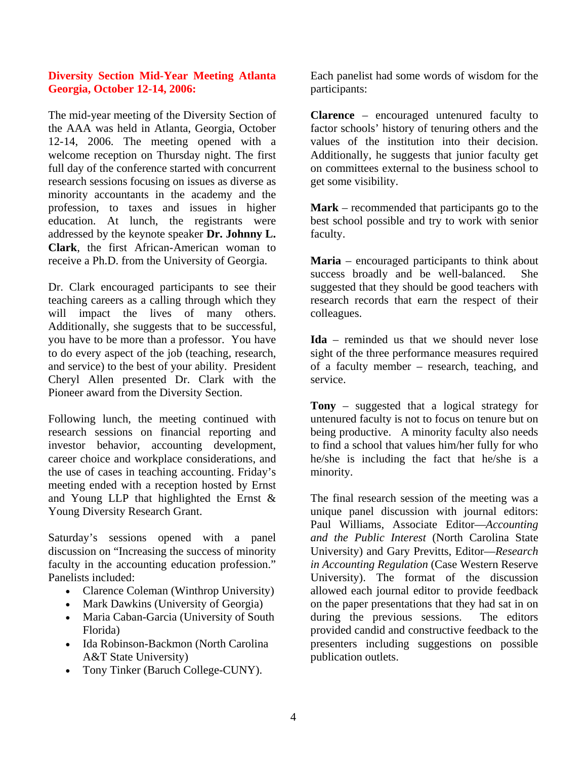#### **Diversity Section Mid-Year Meeting Atlanta Georgia, October 12-14, 2006:**

The mid-year meeting of the Diversity Section of the AAA was held in Atlanta, Georgia, October 12-14, 2006. The meeting opened with a welcome reception on Thursday night. The first full day of the conference started with concurrent research sessions focusing on issues as diverse as minority accountants in the academy and the profession, to taxes and issues in higher education. At lunch, the registrants were addressed by the keynote speaker **Dr. Johnny L. Clark**, the first African-American woman to receive a Ph.D. from the University of Georgia.

Dr. Clark encouraged participants to see their teaching careers as a calling through which they will impact the lives of many others. Additionally, she suggests that to be successful, you have to be more than a professor. You have to do every aspect of the job (teaching, research, and service) to the best of your ability. President Cheryl Allen presented Dr. Clark with the Pioneer award from the Diversity Section.

Following lunch, the meeting continued with research sessions on financial reporting and investor behavior, accounting development, career choice and workplace considerations, and the use of cases in teaching accounting. Friday's meeting ended with a reception hosted by Ernst and Young LLP that highlighted the Ernst & Young Diversity Research Grant.

Saturday's sessions opened with a panel discussion on "Increasing the success of minority faculty in the accounting education profession." Panelists included:

- Clarence Coleman (Winthrop University)
- Mark Dawkins (University of Georgia)
- Maria Caban-Garcia (University of South Florida)
- Ida Robinson-Backmon (North Carolina A&T State University)
- Tony Tinker (Baruch College-CUNY).

Each panelist had some words of wisdom for the participants:

**Clarence** – encouraged untenured faculty to factor schools' history of tenuring others and the values of the institution into their decision. Additionally, he suggests that junior faculty get on committees external to the business school to get some visibility.

**Mark** – recommended that participants go to the best school possible and try to work with senior faculty.

**Maria** – encouraged participants to think about success broadly and be well-balanced. She suggested that they should be good teachers with research records that earn the respect of their colleagues.

**Ida** – reminded us that we should never lose sight of the three performance measures required of a faculty member – research, teaching, and service.

**Tony** – suggested that a logical strategy for untenured faculty is not to focus on tenure but on being productive. A minority faculty also needs to find a school that values him/her fully for who he/she is including the fact that he/she is a minority.

The final research session of the meeting was a unique panel discussion with journal editors: Paul Williams, Associate Editor—*Accounting and the Public Interest* (North Carolina State University) and Gary Previtts, Editor—*Research in Accounting Regulation* (Case Western Reserve University). The format of the discussion allowed each journal editor to provide feedback on the paper presentations that they had sat in on during the previous sessions. The editors provided candid and constructive feedback to the presenters including suggestions on possible publication outlets.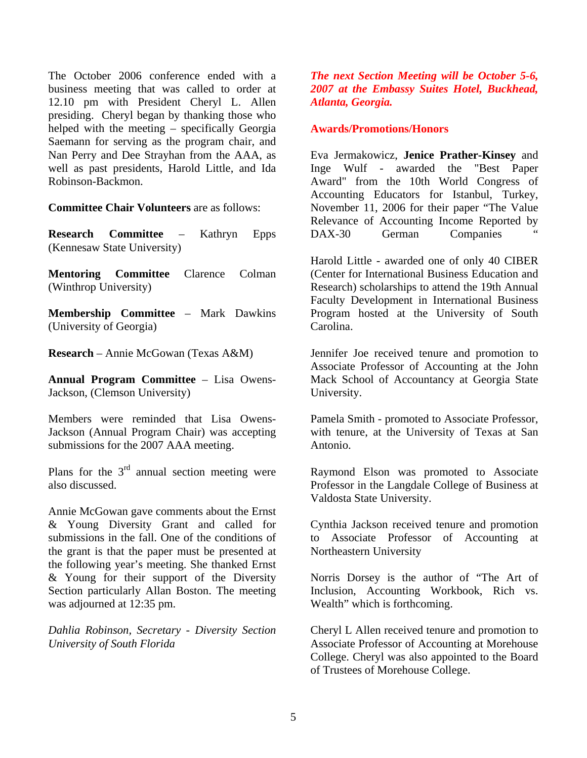The October 2006 conference ended with a business meeting that was called to order at 12.10 pm with President Cheryl L. Allen presiding. Cheryl began by thanking those who helped with the meeting – specifically Georgia Saemann for serving as the program chair, and Nan Perry and Dee Strayhan from the AAA, as well as past presidents, Harold Little, and Ida Robinson-Backmon.

**Committee Chair Volunteers** are as follows:

**Research Committee** – Kathryn Epps (Kennesaw State University)

**Mentoring Committee** Clarence Colman (Winthrop University)

**Membership Committee** – Mark Dawkins (University of Georgia)

**Research** – Annie McGowan (Texas A&M)

**Annual Program Committee** – Lisa Owens-Jackson, (Clemson University)

Members were reminded that Lisa Owens-Jackson (Annual Program Chair) was accepting submissions for the 2007 AAA meeting.

Plans for the  $3<sup>rd</sup>$  annual section meeting were also discussed.

Annie McGowan gave comments about the Ernst & Young Diversity Grant and called for submissions in the fall. One of the conditions of the grant is that the paper must be presented at the following year's meeting. She thanked Ernst & Young for their support of the Diversity Section particularly Allan Boston. The meeting was adjourned at 12:35 pm.

*Dahlia Robinson, Secretary - Diversity Section University of South Florida* 

*The next Section Meeting will be October 5-6, 2007 at the Embassy Suites Hotel, Buckhead, Atlanta, Georgia.* 

#### **Awards/Promotions/Honors**

Eva Jermakowicz, **Jenice Prather-Kinsey** and Inge Wulf - awarded the "Best Paper Award" from the 10th World Congress of Accounting Educators for Istanbul, Turkey, November 11, 2006 for their paper "The Value Relevance of Accounting Income Reported by DAX-30 German Companies

Harold Little - awarded one of only 40 CIBER (Center for International Business Education and Research) scholarships to attend the 19th Annual Faculty Development in International Business Program hosted at the University of South Carolina.

Jennifer Joe received tenure and promotion to Associate Professor of Accounting at the John Mack School of Accountancy at Georgia State University.

Pamela Smith - promoted to Associate Professor, with tenure, at the University of Texas at San Antonio.

Raymond Elson was promoted to Associate Professor in the Langdale College of Business at Valdosta State University.

Cynthia Jackson received tenure and promotion to Associate Professor of Accounting at Northeastern University

Norris Dorsey is the author of "The Art of Inclusion, Accounting Workbook, Rich vs. Wealth" which is forthcoming.

Cheryl L Allen received tenure and promotion to Associate Professor of Accounting at Morehouse College. Cheryl was also appointed to the Board of Trustees of Morehouse College.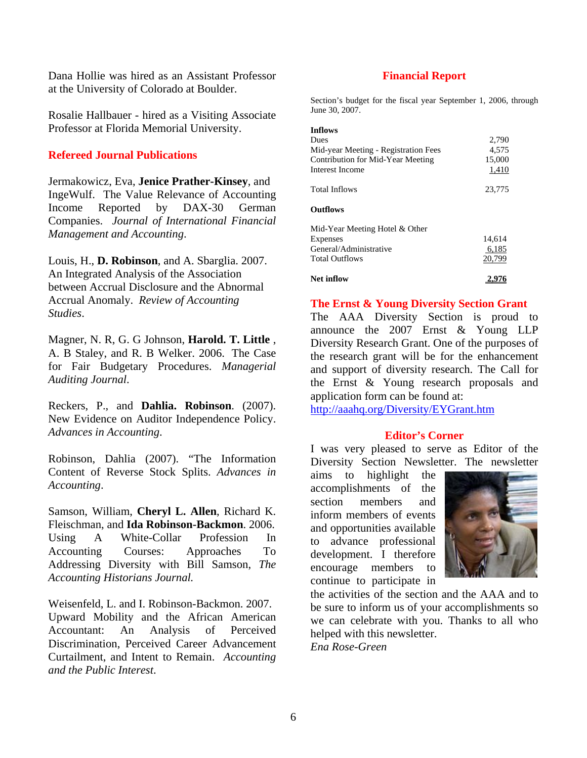Dana Hollie was hired as an Assistant Professor **Financial Report**  at the University of Colorado at Boulder.

Rosalie Hallbauer - hired as a Visiting Associate Professor at Florida Memorial University.

#### **Refereed Journal Publications**

Jermakowicz, Eva, **Jenice Prather-Kinsey**, and IngeWulf. The Value Relevance of Accounting Income Reported by DAX-30 German Companies. *Journal of International Financial Management and Accounting*.

Louis, H., **D. Robinson**, and A. Sbarglia. 2007. An Integrated Analysis of the Association between Accrual Disclosure and the Abnormal Accrual Anomaly. *Review of Accounting Studies*.

Magner, N. R, G. G Johnson, **Harold. T. Little** , A. B Staley, and R. B Welker. 2006. The Case for Fair Budgetary Procedures. *Managerial Auditing Journal*.

Reckers, P., and **Dahlia. Robinson**. (2007). New Evidence on Auditor Independence Policy. *Advances in Accounting*.

Robinson, Dahlia (2007). "The Information Content of Reverse Stock Splits. *Advances in Accounting*.

Samson, William, **Cheryl L. Allen**, Richard K. Fleischman, and **Ida Robinson-Backmon**. 2006. Using A White-Collar Profession In Accounting Courses: Approaches To Addressing Diversity with Bill Samson, *The Accounting Historians Journal.* 

Weisenfeld, L. and I. Robinson-Backmon. 2007. Upward Mobility and the African American Accountant: An Analysis of Perceived Discrimination, Perceived Career Advancement Curtailment, and Intent to Remain. *Accounting and the Public Interest*.

Section's budget for the fiscal year September 1, 2006, through

| Inflows<br>Dues<br>Mid-year Meeting - Registration Fees<br><b>Contribution for Mid-Year Meeting</b><br>Interest Income | 2,790<br>4,575<br>15,000<br>1,410 |
|------------------------------------------------------------------------------------------------------------------------|-----------------------------------|
| Total Inflows                                                                                                          | 23,775                            |
| Outflows                                                                                                               |                                   |
| Mid-Year Meeting Hotel & Other<br><b>Expenses</b><br>General/Administrative<br>Total Outflows                          | 14,614<br>6,185<br>20,799         |
| Net inflow                                                                                                             | 2.976                             |

#### **The Ernst & Young Diversity Section Grant**

The AAA Diversity Section is proud to announce the 2007 Ernst & Young LLP Diversity Research Grant. One of the purposes of the research grant will be for the enhancement and support of diversity research. The Call for the Ernst & Young research proposals and application form can be found at:

<http://aaahq.org/Diversity/EYGrant.htm>

#### **Editor's Corner**

I was very pleased to serve as Editor of the Diversity Section Newsletter. The newsletter

aims to highlight the accomplishments of the section members and inform members of events and opportunities available to advance professional development. I therefore encourage members to continue to participate in



the activities of the section and the AAA and to be sure to inform us of your accomplishments so we can celebrate with you. Thanks to all who helped with this newsletter.

*Ena Rose-Green*